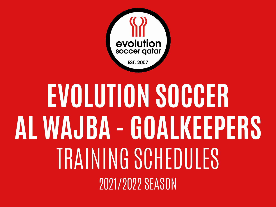

## **EVOLUTION SOCCER AL WAJBA - GOALKEEPERS** TRAINING SCHEDULES 2021/2022 SEASON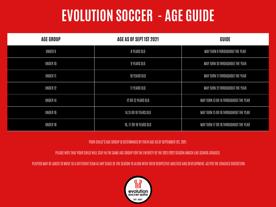## **EVOLUTION SOCCER - AGE GUIDE**

| <b>AGE GROUP</b> | AGE AS OF SEPT 1ST 2021 | GUIDE                                 |
|------------------|-------------------------|---------------------------------------|
| UNDER 9          | 8 YEARS OLD             | MAY TURN 9 THROUGHOUT THE YEAR        |
| UNDER 10         | 9 YEARS OLD             | MAY TURN 10 THROUGHOUT THE YEAR       |
| <b>UNDER 11</b>  | 10 YEARS OLD            | MAY TURN 11 THROUGHOUT THE YEAR       |
| UNDER 12         | 11 YEARS OLD            | MAY TURN 12 THROUGHOUT THE YEAR       |
| UNDER 14         | 12 OR 13 YEARS OLD      | MAY TURN 13 OR 14 THROUGHOUT THE YEAR |
| UNDER 16         | 14,15 OR 16 YEARS OLD   | MAY TURN 15 OR 16 THROUGHOUT THE YEAR |
| UNDER 18         | 16, 17 OR 18 YEARS OLD  | MAY TURN 17 OR 18 THROUGHOUT THE YEAR |

YOUR CHILD'S AGE GROUP IS DETERMINED BY THEIR AGE AS OF SEPTEMBER 1ST, 2021.

PLEASE NOTE THAT YOUR CHILD WILL STAY IN THE SAME AGE GROUP FOR THE ENTIRETY OF THE 2021/2022 SEASON (MUCH LIKE SCHOOL GRADES).

PLAYERS MAY BE ASKED TO MOVE TO A DIFFERENT TEAM AT ANY STAGE OF THE SEASON TO ALIGN WITH THEIR RESPECTIVE ABILITIES AND DEVELOPMENT, AS PER THE COACHES DISCRETION.